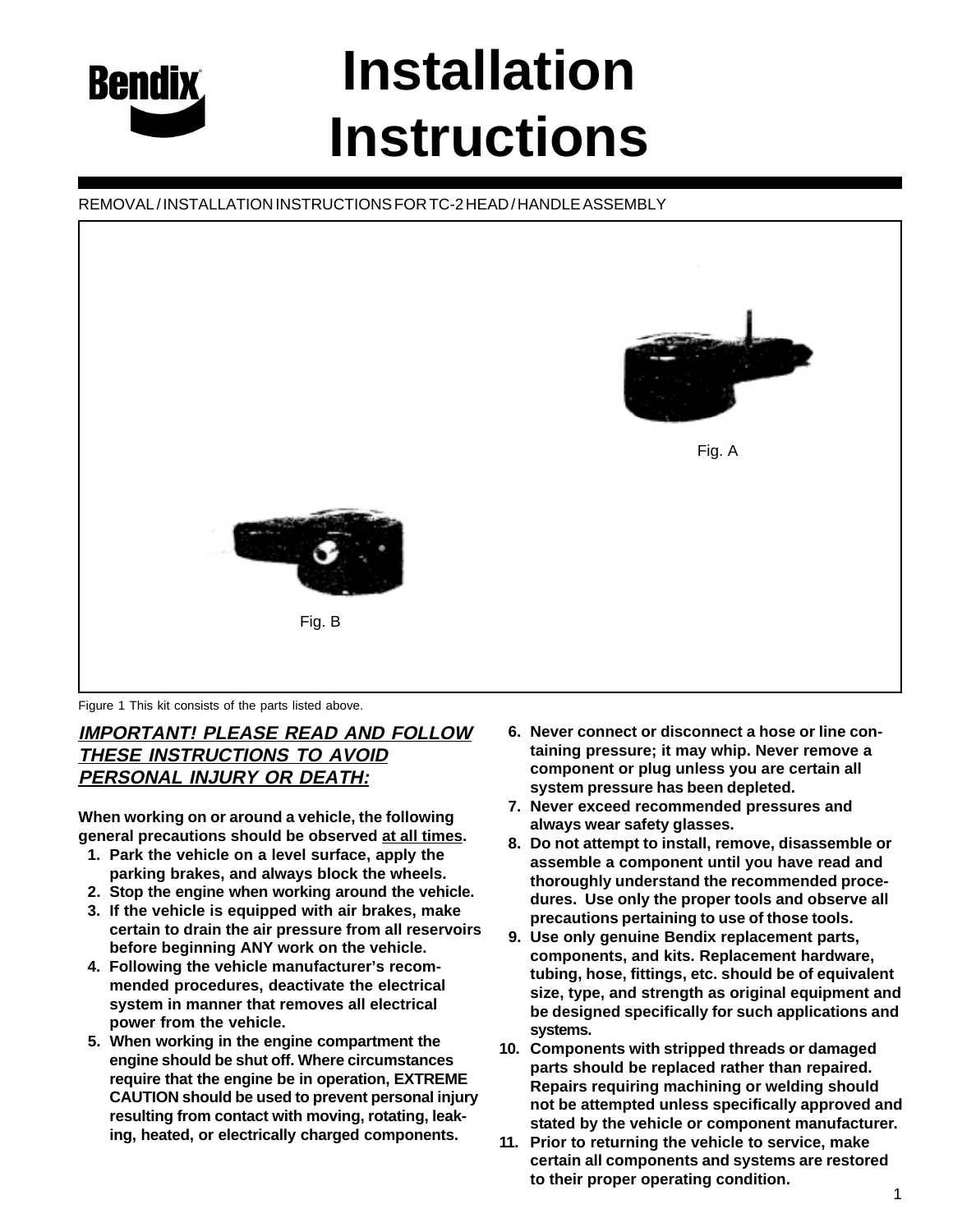

# **Installation Instructions**

## REMOVAL / INSTALLATION INSTRUCTIONS FOR TC-2 HEAD / HANDLE ASSEMBLY



Figure 1 This kit consists of the parts listed above.

## **IMPORTANT! PLEASE READ AND FOLLOW THESE INSTRUCTIONS TO AVOID PERSONAL INJURY OR DEATH:**

**When working on or around a vehicle, the following general precautions should be observed at all times.**

- **1. Park the vehicle on a level surface, apply the parking brakes, and always block the wheels.**
- **2. Stop the engine when working around the vehicle.**
- **3. If the vehicle is equipped with air brakes, make certain to drain the air pressure from all reservoirs before beginning ANY work on the vehicle.**
- **4. Following the vehicle manufacturer's recommended procedures, deactivate the electrical system in manner that removes all electrical power from the vehicle.**
- **5. When working in the engine compartment the engine should be shut off. Where circumstances require that the engine be in operation, EXTREME CAUTION should be used to prevent personal injury resulting from contact with moving, rotating, leaking, heated, or electrically charged components.**
- **6. Never connect or disconnect a hose or line containing pressure; it may whip. Never remove a component or plug unless you are certain all system pressure has been depleted.**
- **7. Never exceed recommended pressures and always wear safety glasses.**
- **8. Do not attempt to install, remove, disassemble or assemble a component until you have read and thoroughly understand the recommended procedures. Use only the proper tools and observe all precautions pertaining to use of those tools.**
- **9. Use only genuine Bendix replacement parts, components, and kits. Replacement hardware, tubing, hose, fittings, etc. should be of equivalent size, type, and strength as original equipment and be designed specifically for such applications and systems.**
- **10. Components with stripped threads or damaged parts should be replaced rather than repaired. Repairs requiring machining or welding should not be attempted unless specifically approved and stated by the vehicle or component manufacturer.**
- **11. Prior to returning the vehicle to service, make certain all components and systems are restored to their proper operating condition.**